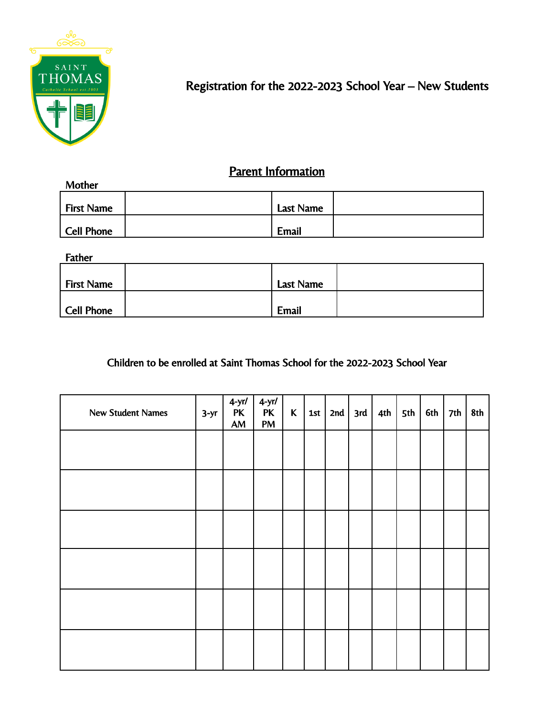

## Registration for the 2022-2023 School Year – New Students

## **Parent Information**

| Mother     |           |  |
|------------|-----------|--|
| First Name | Last Name |  |
| Cell Phone | Email     |  |

Father

| <b>First Name</b> | Last Name    |  |
|-------------------|--------------|--|
| Cell Phone        | <b>Email</b> |  |

Children to be enrolled at Saint Thomas School for the 2022-2023 School Year

| <b>New Student Names</b> | $3-yr$ | $4-yr/$<br><b>PK</b><br>$AM$ | $4-yr/$<br><b>PK</b><br>${\sf PM}$ | $\mathsf{K}$ | 1st   2nd   3rd | $ 4th $ 5th | 6th | 7th | 8th |
|--------------------------|--------|------------------------------|------------------------------------|--------------|-----------------|-------------|-----|-----|-----|
|                          |        |                              |                                    |              |                 |             |     |     |     |
|                          |        |                              |                                    |              |                 |             |     |     |     |
|                          |        |                              |                                    |              |                 |             |     |     |     |
|                          |        |                              |                                    |              |                 |             |     |     |     |
|                          |        |                              |                                    |              |                 |             |     |     |     |
|                          |        |                              |                                    |              |                 |             |     |     |     |